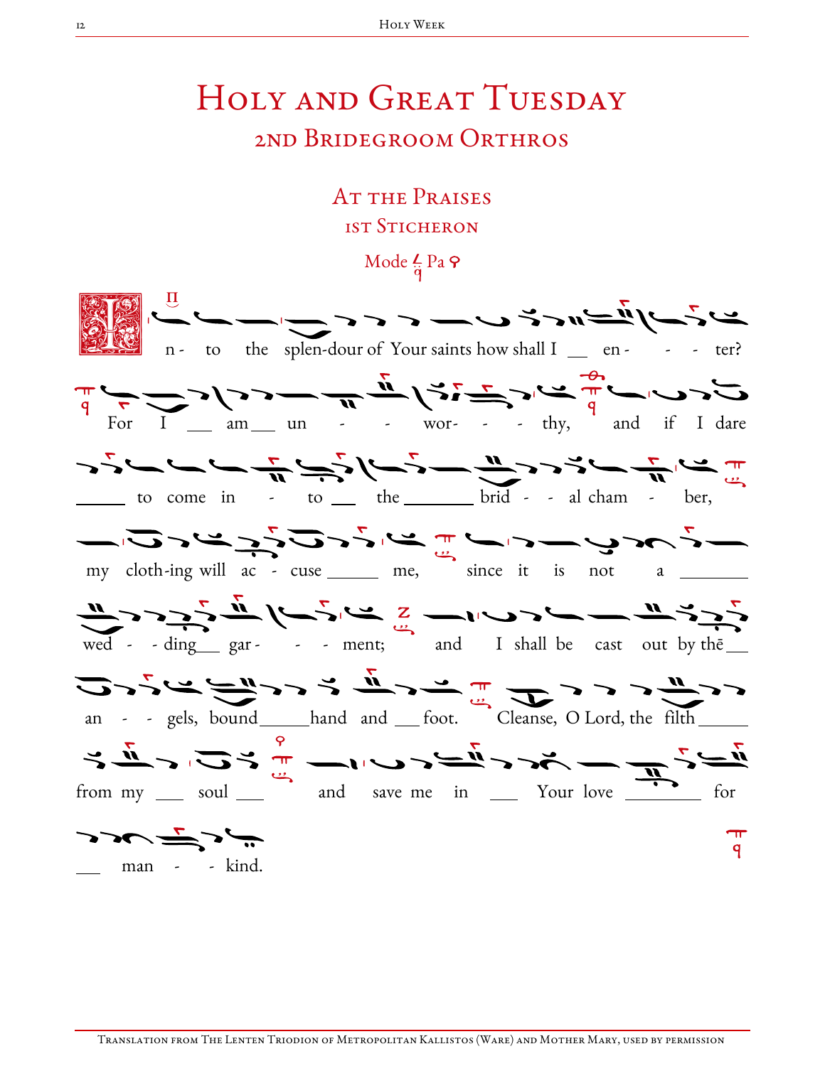## HOLY AND GREAT TUESDAY 2nd Bridegroom Orthros

## AT THE PRAISES **1ST STICHERON**

Mode  $\frac{L}{q}$  Pa  $\varphi$ 

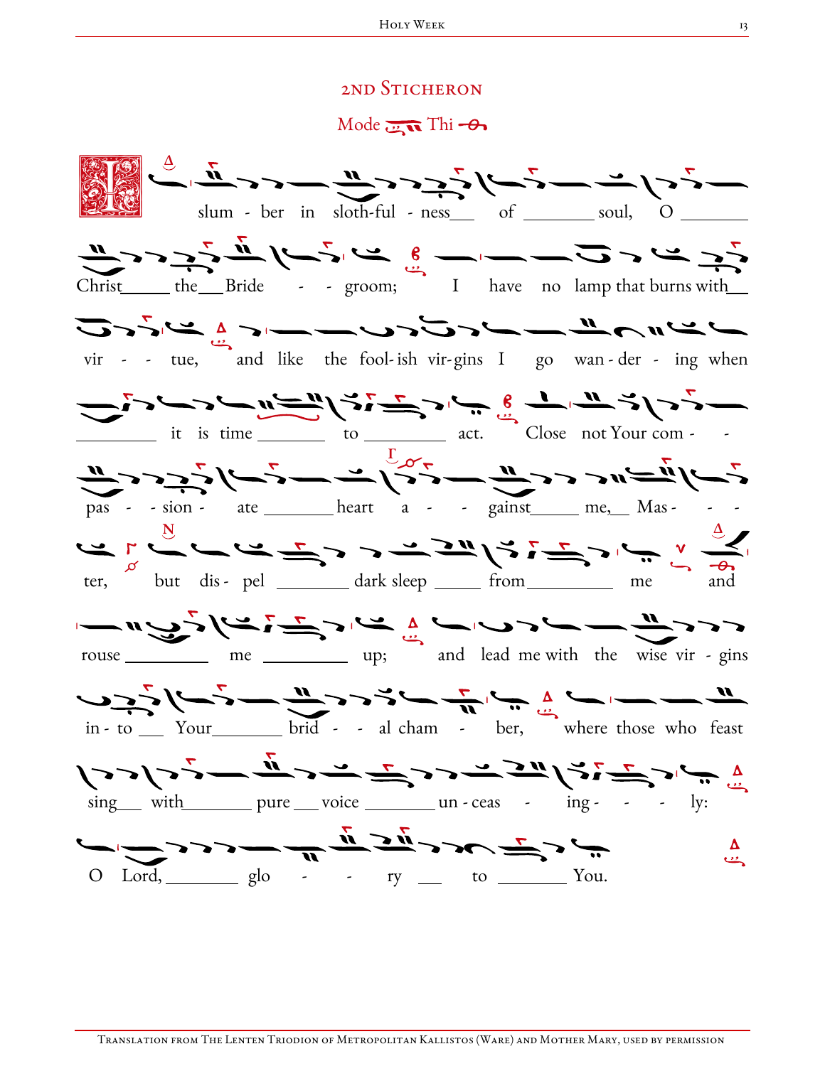## 2nd Sticheron

Mode  $\overline{\mathbf{u}}$  Thi  $-\theta$